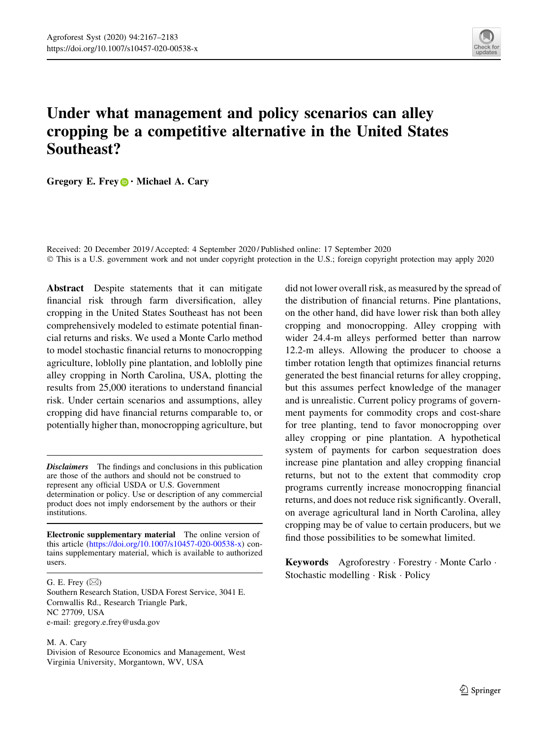

# Under what management and policy scenarios can alley cropping be a competitive alternative in the United States Southeast?

Gregory E. Frey  $\mathbf{\odot}$  . Michael A. Cary

Received: 20 December 2019 / Accepted: 4 September 2020 / Published online: 17 September 2020 - This is a U.S. government work and not under copyright protection in the U.S.; foreign copyright protection may apply 2020

Abstract Despite statements that it can mitigate financial risk through farm diversification, alley cropping in the United States Southeast has not been comprehensively modeled to estimate potential financial returns and risks. We used a Monte Carlo method to model stochastic financial returns to monocropping agriculture, loblolly pine plantation, and loblolly pine alley cropping in North Carolina, USA, plotting the results from 25,000 iterations to understand financial risk. Under certain scenarios and assumptions, alley cropping did have financial returns comparable to, or potentially higher than, monocropping agriculture, but

Disclaimers The findings and conclusions in this publication are those of the authors and should not be construed to represent any official USDA or U.S. Government determination or policy. Use or description of any commercial product does not imply endorsement by the authors or their institutions.

Electronic supplementary material The online version of this article [\(https://doi.org/10.1007/s10457-020-00538-x](https://doi.org/10.1007/s10457-020-00538-x)) contains supplementary material, which is available to authorized users.

G. E. Frey  $(\boxtimes)$ Southern Research Station, USDA Forest Service, 3041 E. Cornwallis Rd., Research Triangle Park, NC 27709, USA e-mail: gregory.e.frey@usda.gov

M. A. Cary

Division of Resource Economics and Management, West Virginia University, Morgantown, WV, USA

did not lower overall risk, as measured by the spread of the distribution of financial returns. Pine plantations, on the other hand, did have lower risk than both alley cropping and monocropping. Alley cropping with wider 24.4-m alleys performed better than narrow 12.2-m alleys. Allowing the producer to choose a timber rotation length that optimizes financial returns generated the best financial returns for alley cropping, but this assumes perfect knowledge of the manager and is unrealistic. Current policy programs of government payments for commodity crops and cost-share for tree planting, tend to favor monocropping over alley cropping or pine plantation. A hypothetical system of payments for carbon sequestration does increase pine plantation and alley cropping financial returns, but not to the extent that commodity crop programs currently increase monocropping financial returns, and does not reduce risk significantly. Overall, on average agricultural land in North Carolina, alley cropping may be of value to certain producers, but we find those possibilities to be somewhat limited.

Keywords Agroforestry · Forestry · Monte Carlo · Stochastic modelling - Risk - Policy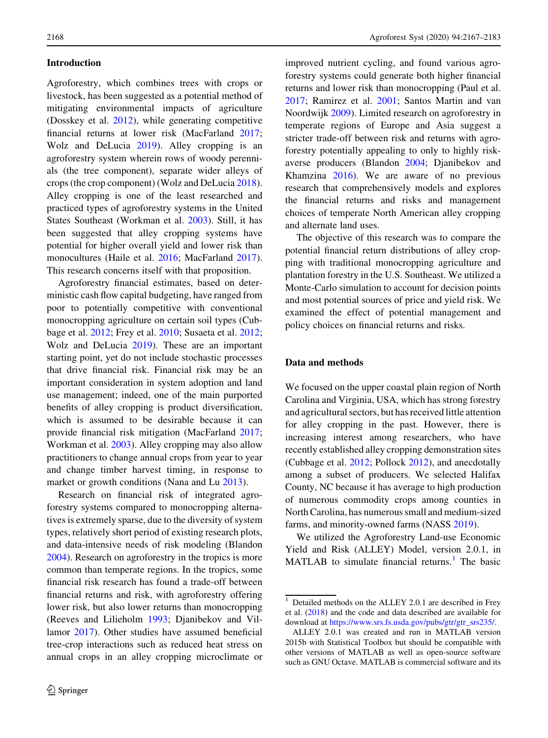# Introduction

Agroforestry, which combines trees with crops or livestock, has been suggested as a potential method of mitigating environmental impacts of agriculture (Dosskey et al. [2012\)](#page-14-0), while generating competitive financial returns at lower risk (MacFarland [2017](#page-15-0); Wolz and DeLucia [2019\)](#page-15-0). Alley cropping is an agroforestry system wherein rows of woody perennials (the tree component), separate wider alleys of crops (the crop component) (Wolz and DeLucia [2018](#page-15-0)). Alley cropping is one of the least researched and practiced types of agroforestry systems in the United States Southeast (Workman et al. [2003\)](#page-15-0). Still, it has been suggested that alley cropping systems have potential for higher overall yield and lower risk than monocultures (Haile et al. [2016;](#page-15-0) MacFarland [2017](#page-15-0)). This research concerns itself with that proposition.

Agroforestry financial estimates, based on deterministic cash flow capital budgeting, have ranged from poor to potentially competitive with conventional monocropping agriculture on certain soil types (Cubbage et al. [2012](#page-14-0); Frey et al. [2010;](#page-14-0) Susaeta et al. [2012](#page-15-0); Wolz and DeLucia [2019](#page-15-0)). These are an important starting point, yet do not include stochastic processes that drive financial risk. Financial risk may be an important consideration in system adoption and land use management; indeed, one of the main purported benefits of alley cropping is product diversification, which is assumed to be desirable because it can provide financial risk mitigation (MacFarland [2017](#page-15-0); Workman et al. [2003](#page-15-0)). Alley cropping may also allow practitioners to change annual crops from year to year and change timber harvest timing, in response to market or growth conditions (Nana and Lu [2013](#page-15-0)).

Research on financial risk of integrated agroforestry systems compared to monocropping alternatives is extremely sparse, due to the diversity of system types, relatively short period of existing research plots, and data-intensive needs of risk modeling (Blandon [2004\)](#page-14-0). Research on agroforestry in the tropics is more common than temperate regions. In the tropics, some financial risk research has found a trade-off between financial returns and risk, with agroforestry offering lower risk, but also lower returns than monocropping (Reeves and Lilieholm [1993;](#page-15-0) Djanibekov and Villamor [2017](#page-14-0)). Other studies have assumed beneficial tree-crop interactions such as reduced heat stress on annual crops in an alley cropping microclimate or improved nutrient cycling, and found various agroforestry systems could generate both higher financial returns and lower risk than monocropping (Paul et al. [2017;](#page-15-0) Ramirez et al. [2001;](#page-15-0) Santos Martin and van Noordwijk [2009\)](#page-15-0). Limited research on agroforestry in temperate regions of Europe and Asia suggest a stricter trade-off between risk and returns with agroforestry potentially appealing to only to highly riskaverse producers (Blandon [2004;](#page-14-0) Djanibekov and Khamzina [2016\)](#page-14-0). We are aware of no previous research that comprehensively models and explores the financial returns and risks and management choices of temperate North American alley cropping and alternate land uses.

The objective of this research was to compare the potential financial return distributions of alley cropping with traditional monocropping agriculture and plantation forestry in the U.S. Southeast. We utilized a Monte-Carlo simulation to account for decision points and most potential sources of price and yield risk. We examined the effect of potential management and policy choices on financial returns and risks.

# Data and methods

We focused on the upper coastal plain region of North Carolina and Virginia, USA, which has strong forestry and agricultural sectors, but has received little attention for alley cropping in the past. However, there is increasing interest among researchers, who have recently established alley cropping demonstration sites (Cubbage et al. [2012](#page-14-0); Pollock [2012](#page-15-0)), and anecdotally among a subset of producers. We selected Halifax County, NC because it has average to high production of numerous commodity crops among counties in North Carolina, has numerous small and medium-sized farms, and minority-owned farms (NASS [2019\)](#page-15-0).

We utilized the Agroforestry Land-use Economic Yield and Risk (ALLEY) Model, version 2.0.1, in  $MATLAB$  to simulate financial returns.<sup>1</sup> The basic

<sup>&</sup>lt;sup>1</sup> Detailed methods on the ALLEY 2.0.1 are described in Frey et al. ([2018\)](#page-15-0) and the code and data described are available for download at [https://www.srs.fs.usda.gov/pubs/gtr/gtr\\_srs235/.](https://www.srs.fs.usda.gov/pubs/gtr/gtr_srs235/)

ALLEY 2.0.1 was created and run in MATLAB version 2015b with Statistical Toolbox but should be compatible with other versions of MATLAB as well as open-source software such as GNU Octave. MATLAB is commercial software and its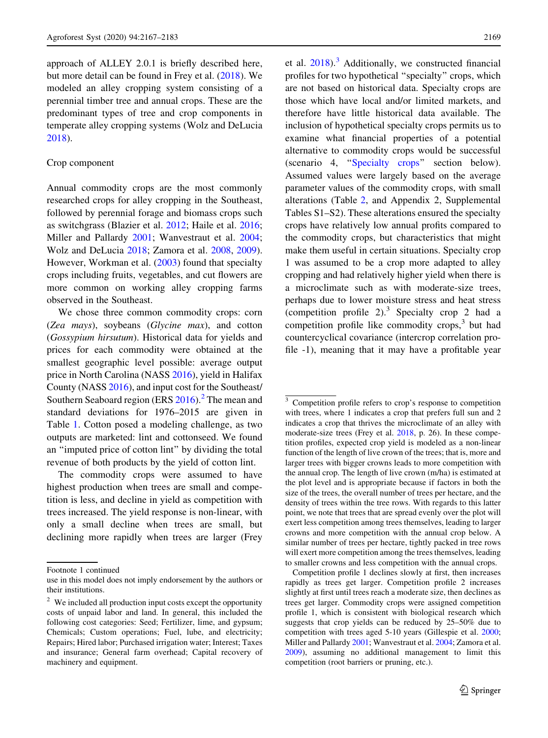<span id="page-2-0"></span>approach of ALLEY 2.0.1 is briefly described here, but more detail can be found in Frey et al. [\(2018](#page-15-0)). We modeled an alley cropping system consisting of a perennial timber tree and annual crops. These are the predominant types of tree and crop components in temperate alley cropping systems (Wolz and DeLucia [2018\)](#page-15-0).

## Crop component

Annual commodity crops are the most commonly researched crops for alley cropping in the Southeast, followed by perennial forage and biomass crops such as switchgrass (Blazier et al. [2012;](#page-14-0) Haile et al. [2016](#page-15-0); Miller and Pallardy [2001](#page-15-0); Wanvestraut et al. [2004](#page-15-0); Wolz and DeLucia [2018](#page-15-0); Zamora et al. [2008,](#page-16-0) [2009](#page-16-0)). However, Workman et al. ([2003\)](#page-15-0) found that specialty crops including fruits, vegetables, and cut flowers are more common on working alley cropping farms observed in the Southeast.

We chose three common commodity crops: corn (Zea mays), soybeans (Glycine max), and cotton (Gossypium hirsutum). Historical data for yields and prices for each commodity were obtained at the smallest geographic level possible: average output price in North Carolina (NASS [2016\)](#page-15-0), yield in Halifax County (NASS [2016\)](#page-15-0), and input cost for the Southeast/ Southern Seaboard region (ERS  $2016$ ).<sup>2</sup> The mean and standard deviations for 1976–2015 are given in Table [1.](#page-3-0) Cotton posed a modeling challenge, as two outputs are marketed: lint and cottonseed. We found an ''imputed price of cotton lint'' by dividing the total revenue of both products by the yield of cotton lint.

The commodity crops were assumed to have highest production when trees are small and competition is less, and decline in yield as competition with trees increased. The yield response is non-linear, with only a small decline when trees are small, but declining more rapidly when trees are larger (Frey et al.  $2018$ <sup>3</sup> Additionally, we constructed financial profiles for two hypothetical ''specialty'' crops, which are not based on historical data. Specialty crops are those which have local and/or limited markets, and therefore have little historical data available. The inclusion of hypothetical specialty crops permits us to examine what financial properties of a potential alternative to commodity crops would be successful (scenario 4, ''[Specialty crops](#page-6-0)'' section below). Assumed values were largely based on the average parameter values of the commodity crops, with small alterations (Table [2](#page-3-0), and Appendix 2, Supplemental Tables S1–S2). These alterations ensured the specialty crops have relatively low annual profits compared to the commodity crops, but characteristics that might make them useful in certain situations. Specialty crop 1 was assumed to be a crop more adapted to alley cropping and had relatively higher yield when there is a microclimate such as with moderate-size trees, perhaps due to lower moisture stress and heat stress (competition profile 2).<sup>3</sup> Specialty crop 2 had a competition profile like commodity crops, $3$  but had countercyclical covariance (intercrop correlation profile -1), meaning that it may have a profitable year

Footnote 1 continued

use in this model does not imply endorsement by the authors or their institutions.

<sup>&</sup>lt;sup>2</sup> We included all production input costs except the opportunity costs of unpaid labor and land. In general, this included the following cost categories: Seed; Fertilizer, lime, and gypsum; Chemicals; Custom operations; Fuel, lube, and electricity; Repairs; Hired labor; Purchased irrigation water; Interest; Taxes and insurance; General farm overhead; Capital recovery of machinery and equipment.

<sup>&</sup>lt;sup>3</sup> Competition profile refers to crop's response to competition with trees, where 1 indicates a crop that prefers full sun and 2 indicates a crop that thrives the microclimate of an alley with moderate-size trees (Frey et al. [2018](#page-15-0), p. 26). In these competition profiles, expected crop yield is modeled as a non-linear function of the length of live crown of the trees; that is, more and larger trees with bigger crowns leads to more competition with the annual crop. The length of live crown (m/ha) is estimated at the plot level and is appropriate because if factors in both the size of the trees, the overall number of trees per hectare, and the density of trees within the tree rows. With regards to this latter point, we note that trees that are spread evenly over the plot will exert less competition among trees themselves, leading to larger crowns and more competition with the annual crop below. A similar number of trees per hectare, tightly packed in tree rows will exert more competition among the trees themselves, leading to smaller crowns and less competition with the annual crops.

Competition profile 1 declines slowly at first, then increases rapidly as trees get larger. Competition profile 2 increases slightly at first until trees reach a moderate size, then declines as trees get larger. Commodity crops were assigned competition profile 1, which is consistent with biological research which suggests that crop yields can be reduced by 25–50% due to competition with trees aged 5-10 years (Gillespie et al. [2000;](#page-15-0) Miller and Pallardy [2001;](#page-15-0) Wanvestraut et al. [2004](#page-15-0); Zamora et al. [2009\)](#page-16-0), assuming no additional management to limit this competition (root barriers or pruning, etc.).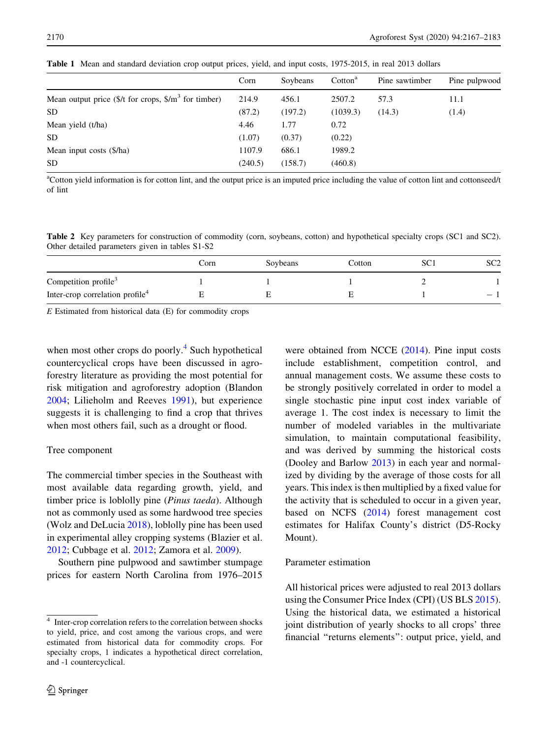|                                                           | Corn    | Soybeans | $\mathrm{Cotton}^{\mathrm{a}}$ | Pine sawtimber | Pine pulpwood |
|-----------------------------------------------------------|---------|----------|--------------------------------|----------------|---------------|
| Mean output price $($/t$$ for crops, $$/m^3$$ for timber) | 214.9   | 456.1    | 2507.2                         | 57.3           | 11.1          |
| SD.                                                       | (87.2)  | (197.2)  | (1039.3)                       | (14.3)         | (1.4)         |
| Mean yield (t/ha)                                         | 4.46    | 1.77     | 0.72                           |                |               |
| <b>SD</b>                                                 | (1.07)  | (0.37)   | (0.22)                         |                |               |
| Mean input costs (\$/ha)                                  | 1107.9  | 686.1    | 1989.2                         |                |               |
| SD.                                                       | (240.5) | (158.7)  | (460.8)                        |                |               |

<span id="page-3-0"></span>Table 1 Mean and standard deviation crop output prices, yield, and input costs, 1975-2015, in real 2013 dollars

<sup>a</sup>Cotton yield information is for cotton lint, and the output price is an imputed price including the value of cotton lint and cottonseed/ of lint

Table 2 Key parameters for construction of commodity (corn, soybeans, cotton) and hypothetical specialty crops (SC1 and SC2). Other detailed parameters given in tables S1-S2

|                                             | ⊇orn | Soybeans | `otton | SCI | SC <sub>2</sub> |
|---------------------------------------------|------|----------|--------|-----|-----------------|
| Competition profile <sup>3</sup>            |      |          |        |     |                 |
| Inter-crop correlation profile <sup>4</sup> |      |          |        |     |                 |

E Estimated from historical data (E) for commodity crops

when most other crops do poorly.<sup>4</sup> Such hypothetical countercyclical crops have been discussed in agroforestry literature as providing the most potential for risk mitigation and agroforestry adoption (Blandon [2004;](#page-14-0) Lilieholm and Reeves [1991\)](#page-15-0), but experience suggests it is challenging to find a crop that thrives when most others fail, such as a drought or flood.

## Tree component

The commercial timber species in the Southeast with most available data regarding growth, yield, and timber price is loblolly pine (Pinus taeda). Although not as commonly used as some hardwood tree species (Wolz and DeLucia [2018](#page-15-0)), loblolly pine has been used in experimental alley cropping systems (Blazier et al. [2012;](#page-14-0) Cubbage et al. [2012](#page-14-0); Zamora et al. [2009](#page-16-0)).

Southern pine pulpwood and sawtimber stumpage prices for eastern North Carolina from 1976–2015 were obtained from NCCE [\(2014](#page-15-0)). Pine input costs include establishment, competition control, and annual management costs. We assume these costs to be strongly positively correlated in order to model a single stochastic pine input cost index variable of average 1. The cost index is necessary to limit the number of modeled variables in the multivariate simulation, to maintain computational feasibility, and was derived by summing the historical costs (Dooley and Barlow [2013](#page-14-0)) in each year and normalized by dividing by the average of those costs for all years. This index is then multiplied by a fixed value for the activity that is scheduled to occur in a given year, based on NCFS [\(2014](#page-15-0)) forest management cost estimates for Halifax County's district (D5-Rocky Mount).

## Parameter estimation

All historical prices were adjusted to real 2013 dollars using the Consumer Price Index (CPI) (US BLS [2015](#page-15-0)). Using the historical data, we estimated a historical joint distribution of yearly shocks to all crops' three financial ''returns elements'': output price, yield, and

<sup>4</sup> Inter-crop correlation refers to the correlation between shocks to yield, price, and cost among the various crops, and were estimated from historical data for commodity crops. For specialty crops, 1 indicates a hypothetical direct correlation, and -1 countercyclical.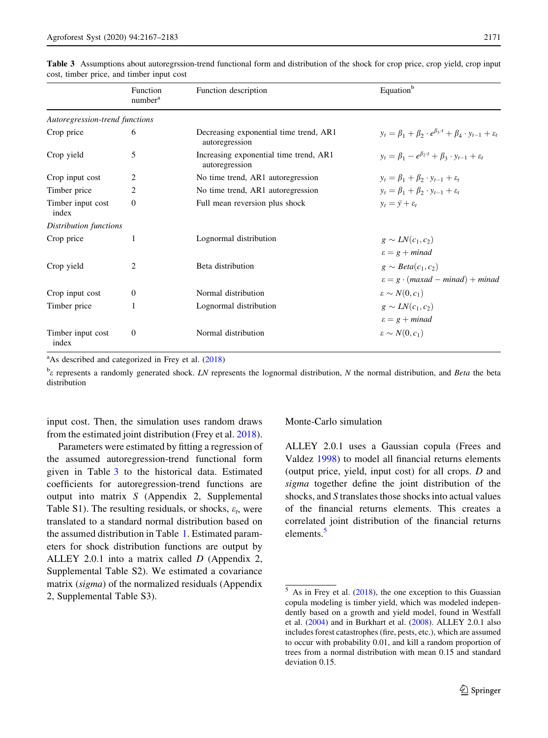|                                | Function<br>number <sup>a</sup> | Function description                                     | Equation <sup>b</sup>                                                                       |
|--------------------------------|---------------------------------|----------------------------------------------------------|---------------------------------------------------------------------------------------------|
| Autoregression-trend functions |                                 |                                                          |                                                                                             |
| Crop price                     | 6                               | Decreasing exponential time trend, AR1<br>autoregression | $y_t = \beta_1 + \beta_2 \cdot e^{\beta_3 \cdot t} + \beta_4 \cdot y_{t-1} + \varepsilon_t$ |
| Crop yield                     | 5                               | Increasing exponential time trend, AR1<br>autoregression | $y_t = \beta_1 - e^{\beta_2 \cdot t} + \beta_3 \cdot y_{t-1} + \varepsilon_t$               |
| Crop input cost                | 2                               | No time trend, AR1 autoregression                        | $y_t = \beta_1 + \beta_2 \cdot y_{t-1} + \varepsilon_t$                                     |
| Timber price                   | $\overline{2}$                  | No time trend, AR1 autoregression                        | $y_t = \beta_1 + \beta_2 \cdot y_{t-1} + \varepsilon_t$                                     |
| Timber input cost<br>index     | $\theta$                        | Full mean reversion plus shock                           | $y_t = \bar{y} + \varepsilon_t$                                                             |
| Distribution functions         |                                 |                                                          |                                                                                             |
| Crop price                     | 1                               | Lognormal distribution                                   | $g \sim LN(c_1, c_2)$                                                                       |
|                                |                                 |                                                          | $\varepsilon = g + minad$                                                                   |
| Crop yield                     | 2                               | Beta distribution                                        | $g \sim Beta(c_1, c_2)$                                                                     |
|                                |                                 |                                                          | $\varepsilon = g \cdot (maxad - minad) + minad$                                             |
| Crop input cost                | $\boldsymbol{0}$                | Normal distribution                                      | $\varepsilon \sim N(0, c_1)$                                                                |
| Timber price                   | 1                               | Lognormal distribution                                   | $g \sim LN(c_1, c_2)$                                                                       |
|                                |                                 |                                                          | $\varepsilon = g + minad$                                                                   |
| Timber input cost<br>index     | $\boldsymbol{0}$                | Normal distribution                                      | $\varepsilon \sim N(0, c_1)$                                                                |

Table 3 Assumptions about autoregrssion-trend functional form and distribution of the shock for crop price, crop yield, crop input cost, timber price, and timber input cost

<sup>a</sup>As described and categorized in Frey et al. [\(2018](#page-15-0))

 $b_E$  represents a randomly generated shock. LN represents the lognormal distribution, N the normal distribution, and Beta the beta distribution

input cost. Then, the simulation uses random draws from the estimated joint distribution (Frey et al. [2018](#page-15-0)).

Parameters were estimated by fitting a regression of the assumed autoregression-trend functional form given in Table 3 to the historical data. Estimated coefficients for autoregression-trend functions are output into matrix S (Appendix 2, Supplemental Table S1). The resulting residuals, or shocks,  $\varepsilon_t$ , were translated to a standard normal distribution based on the assumed distribution in Table [1.](#page-3-0) Estimated parameters for shock distribution functions are output by ALLEY 2.0.1 into a matrix called D (Appendix 2, Supplemental Table S2). We estimated a covariance matrix (sigma) of the normalized residuals (Appendix 2, Supplemental Table S3).

#### Monte-Carlo simulation

ALLEY 2.0.1 uses a Gaussian copula (Frees and Valdez [1998](#page-14-0)) to model all financial returns elements (output price, yield, input cost) for all crops. D and sigma together define the joint distribution of the shocks, and S translates those shocks into actual values of the financial returns elements. This creates a correlated joint distribution of the financial returns elements.<sup>5</sup>

 $5$  As in Frey et al. [\(2018](#page-15-0)), the one exception to this Guassian copula modeling is timber yield, which was modeled independently based on a growth and yield model, found in Westfall et al. ([2004\)](#page-15-0) and in Burkhart et al. [\(2008](#page-14-0)). ALLEY 2.0.1 also includes forest catastrophes (fire, pests, etc.), which are assumed to occur with probability 0.01, and kill a random proportion of trees from a normal distribution with mean 0.15 and standard deviation 0.15.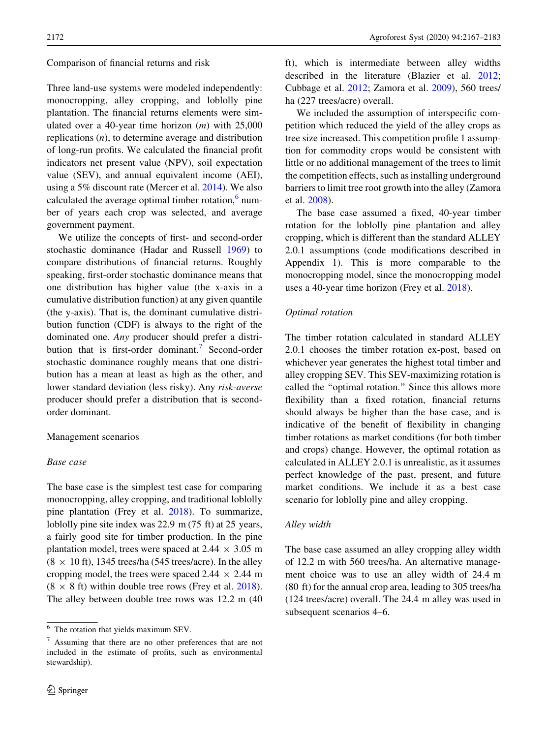Comparison of financial returns and risk

Three land-use systems were modeled independently: monocropping, alley cropping, and loblolly pine plantation. The financial returns elements were simulated over a 40-year time horizon  $(m)$  with 25,000 replications  $(n)$ , to determine average and distribution of long-run profits. We calculated the financial profit indicators net present value (NPV), soil expectation value (SEV), and annual equivalent income (AEI), using a 5% discount rate (Mercer et al. [2014\)](#page-15-0). We also calculated the average optimal timber rotation, $6$  number of years each crop was selected, and average government payment.

We utilize the concepts of first- and second-order stochastic dominance (Hadar and Russell [1969](#page-15-0)) to compare distributions of financial returns. Roughly speaking, first-order stochastic dominance means that one distribution has higher value (the x-axis in a cumulative distribution function) at any given quantile (the y-axis). That is, the dominant cumulative distribution function (CDF) is always to the right of the dominated one. Any producer should prefer a distribution that is first-order dominant.<sup>7</sup> Second-order stochastic dominance roughly means that one distribution has a mean at least as high as the other, and lower standard deviation (less risky). Any risk-averse producer should prefer a distribution that is secondorder dominant.

#### Management scenarios

#### Base case

The base case is the simplest test case for comparing monocropping, alley cropping, and traditional loblolly pine plantation (Frey et al. [2018\)](#page-15-0). To summarize, loblolly pine site index was 22.9 m (75 ft) at 25 years, a fairly good site for timber production. In the pine plantation model, trees were spaced at  $2.44 \times 3.05$  m  $(8 \times 10$  ft), 1345 trees/ha (545 trees/acre). In the alley cropping model, the trees were spaced  $2.44 \times 2.44$  m  $(8 \times 8$  ft) within double tree rows (Frey et al. [2018](#page-15-0)). The alley between double tree rows was 12.2 m (40 ft), which is intermediate between alley widths described in the literature (Blazier et al. [2012](#page-14-0); Cubbage et al. [2012](#page-14-0); Zamora et al. [2009](#page-16-0)), 560 trees/ ha (227 trees/acre) overall.

We included the assumption of interspecific competition which reduced the yield of the alley crops as tree size increased. This competition profile 1 assumption for commodity crops would be consistent with little or no additional management of the trees to limit the competition effects, such as installing underground barriers to limit tree root growth into the alley (Zamora et al. [2008](#page-16-0)).

The base case assumed a fixed, 40-year timber rotation for the loblolly pine plantation and alley cropping, which is different than the standard ALLEY 2.0.1 assumptions (code modifications described in Appendix 1). This is more comparable to the monocropping model, since the monocropping model uses a 40-year time horizon (Frey et al. [2018](#page-15-0)).

## Optimal rotation

The timber rotation calculated in standard ALLEY 2.0.1 chooses the timber rotation ex-post, based on whichever year generates the highest total timber and alley cropping SEV. This SEV-maximizing rotation is called the ''optimal rotation.'' Since this allows more flexibility than a fixed rotation, financial returns should always be higher than the base case, and is indicative of the benefit of flexibility in changing timber rotations as market conditions (for both timber and crops) change. However, the optimal rotation as calculated in ALLEY 2.0.1 is unrealistic, as it assumes perfect knowledge of the past, present, and future market conditions. We include it as a best case scenario for loblolly pine and alley cropping.

## Alley width

The base case assumed an alley cropping alley width of 12.2 m with 560 trees/ha. An alternative management choice was to use an alley width of 24.4 m (80 ft) for the annual crop area, leading to 305 trees/ha (124 trees/acre) overall. The 24.4 m alley was used in subsequent scenarios 4–6.

<sup>6</sup> The rotation that yields maximum SEV.

<sup>7</sup> Assuming that there are no other preferences that are not included in the estimate of profits, such as environmental stewardship).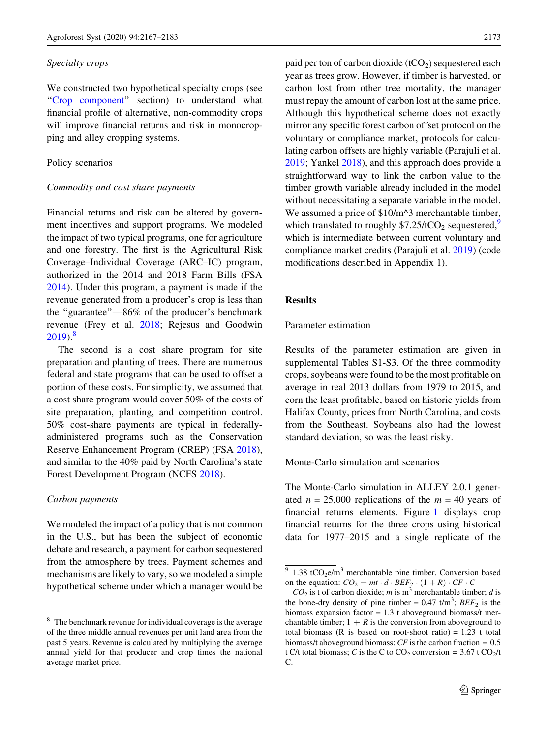#### <span id="page-6-0"></span>Specialty crops

We constructed two hypothetical specialty crops (see "Crop component" section) to understand what financial profile of alternative, non-commodity crops will improve financial returns and risk in monocropping and alley cropping systems.

#### Policy scenarios

#### Commodity and cost share payments

Financial returns and risk can be altered by government incentives and support programs. We modeled the impact of two typical programs, one for agriculture and one forestry. The first is the Agricultural Risk Coverage–Individual Coverage (ARC–IC) program, authorized in the 2014 and 2018 Farm Bills (FSA [2014\)](#page-15-0). Under this program, a payment is made if the revenue generated from a producer's crop is less than the ''guarantee''—86% of the producer's benchmark revenue (Frey et al. [2018;](#page-15-0) Rejesus and Goodwin  $2019$ .

The second is a cost share program for site preparation and planting of trees. There are numerous federal and state programs that can be used to offset a portion of these costs. For simplicity, we assumed that a cost share program would cover 50% of the costs of site preparation, planting, and competition control. 50% cost-share payments are typical in federallyadministered programs such as the Conservation Reserve Enhancement Program (CREP) (FSA [2018](#page-15-0)), and similar to the 40% paid by North Carolina's state Forest Development Program (NCFS [2018](#page-15-0)).

#### Carbon payments

We modeled the impact of a policy that is not common in the U.S., but has been the subject of economic debate and research, a payment for carbon sequestered from the atmosphere by trees. Payment schemes and mechanisms are likely to vary, so we modeled a simple hypothetical scheme under which a manager would be paid per ton of carbon dioxide  $(tCO<sub>2</sub>)$  sequestered each year as trees grow. However, if timber is harvested, or carbon lost from other tree mortality, the manager must repay the amount of carbon lost at the same price. Although this hypothetical scheme does not exactly mirror any specific forest carbon offset protocol on the voluntary or compliance market, protocols for calculating carbon offsets are highly variable (Parajuli et al. [2019;](#page-15-0) Yankel [2018](#page-16-0)), and this approach does provide a straightforward way to link the carbon value to the timber growth variable already included in the model without necessitating a separate variable in the model. We assumed a price of \$10/m<sup> $\land$ </sup>3 merchantable timber, which translated to roughly  $$7.25/tCO<sub>2</sub>$  sequestered,<sup>9</sup> which is intermediate between current voluntary and compliance market credits (Parajuli et al. [2019](#page-15-0)) (code modifications described in Appendix 1).

# Results

# Parameter estimation

Results of the parameter estimation are given in supplemental Tables S1-S3. Of the three commodity crops, soybeans were found to be the most profitable on average in real 2013 dollars from 1979 to 2015, and corn the least profitable, based on historic yields from Halifax County, prices from North Carolina, and costs from the Southeast. Soybeans also had the lowest standard deviation, so was the least risky.

Monte-Carlo simulation and scenarios

The Monte-Carlo simulation in ALLEY 2.0.1 generated  $n = 25,000$  replications of the  $m = 40$  years of financial returns elements. Figure [1](#page-7-0) displays crop financial returns for the three crops using historical data for 1977–2015 and a single replicate of the

<sup>8</sup> The benchmark revenue for individual coverage is the average of the three middle annual revenues per unit land area from the past 5 years. Revenue is calculated by multiplying the average annual yield for that producer and crop times the national average market price.

 $\frac{9}{9}$  1.38 tCO<sub>2</sub>e/m<sup>3</sup> merchantable pine timber. Conversion based on the equation:  $CO_2 = mt \cdot d \cdot BEF_2 \cdot (1 + R) \cdot CF \cdot C$ 

 $CO<sub>2</sub>$  is t of carbon dioxide; *m* is m<sup>3</sup> merchantable timber; *d* is the bone-dry density of pine timber =  $0.47 \text{ t/m}^3$ ;  $BEF_2$  is the biomass expansion factor  $= 1.3$  t aboveground biomass/t merchantable timber;  $1 + R$  is the conversion from above ground to total biomass ( $R$  is based on root-shoot ratio) = 1.23 t total biomass/t aboveground biomass;  $CF$  is the carbon fraction = 0.5 t C/t total biomass; C is the C to  $CO_2$  conversion = 3.67 t  $CO_2/t$ C.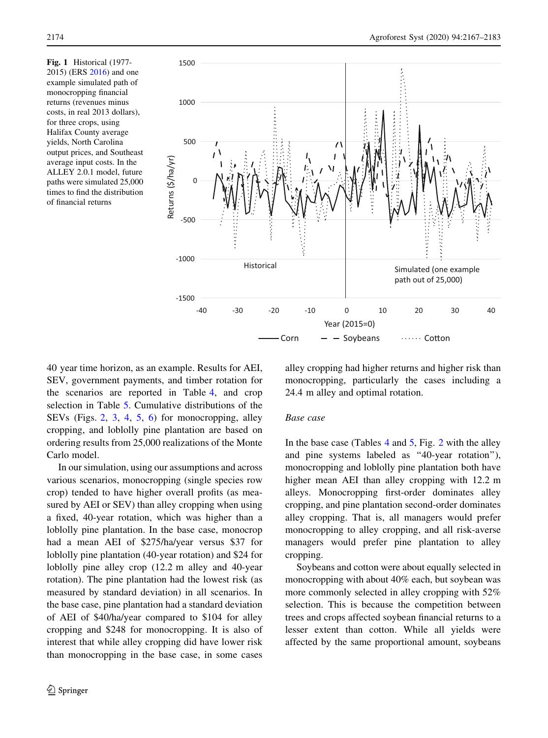<span id="page-7-0"></span>Fig. 1 Historical (1977- 2015) (ERS [2016\)](#page-14-0) and one example simulated path of monocropping financial returns (revenues minus costs, in real 2013 dollars), for three crops, using Halifax County average yields, North Carolina output prices, and Southeast average input costs. In the ALLEY 2.0.1 model, future paths were simulated 25,000 times to find the distribution of financial returns



40 year time horizon, as an example. Results for AEI, SEV, government payments, and timber rotation for the scenarios are reported in Table [4](#page-8-0), and crop selection in Table [5](#page-9-0). Cumulative distributions of the SEVs (Figs. [2](#page-9-0), [3](#page-10-0), [4](#page-10-0), [5](#page-11-0), [6](#page-11-0)) for monocropping, alley cropping, and loblolly pine plantation are based on ordering results from 25,000 realizations of the Monte Carlo model.

In our simulation, using our assumptions and across various scenarios, monocropping (single species row crop) tended to have higher overall profits (as measured by AEI or SEV) than alley cropping when using a fixed, 40-year rotation, which was higher than a loblolly pine plantation. In the base case, monocrop had a mean AEI of \$275/ha/year versus \$37 for loblolly pine plantation (40-year rotation) and \$24 for loblolly pine alley crop (12.2 m alley and 40-year rotation). The pine plantation had the lowest risk (as measured by standard deviation) in all scenarios. In the base case, pine plantation had a standard deviation of AEI of \$40/ha/year compared to \$104 for alley cropping and \$248 for monocropping. It is also of interest that while alley cropping did have lower risk than monocropping in the base case, in some cases alley cropping had higher returns and higher risk than monocropping, particularly the cases including a 24.4 m alley and optimal rotation.

#### Base case

In the base case (Tables [4](#page-8-0) and [5,](#page-9-0) Fig. [2](#page-9-0) with the alley and pine systems labeled as ''40-year rotation''), monocropping and loblolly pine plantation both have higher mean AEI than alley cropping with 12.2 m alleys. Monocropping first-order dominates alley cropping, and pine plantation second-order dominates alley cropping. That is, all managers would prefer monocropping to alley cropping, and all risk-averse managers would prefer pine plantation to alley cropping.

Soybeans and cotton were about equally selected in monocropping with about 40% each, but soybean was more commonly selected in alley cropping with 52% selection. This is because the competition between trees and crops affected soybean financial returns to a lesser extent than cotton. While all yields were affected by the same proportional amount, soybeans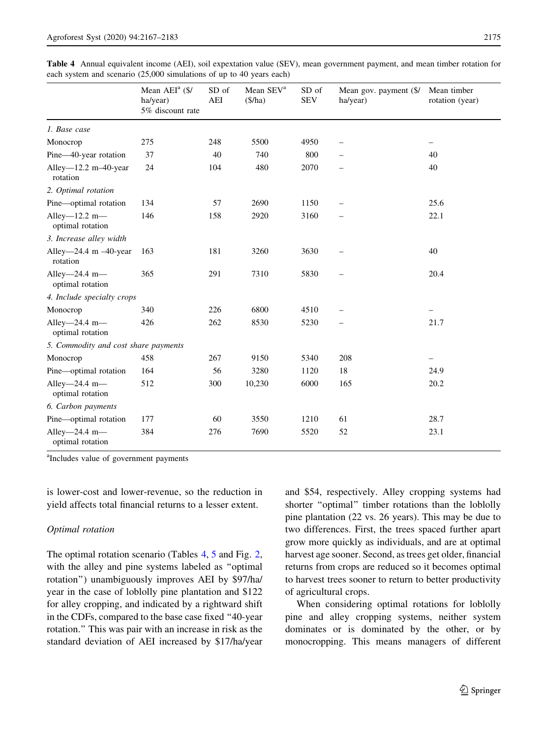|                                          | Mean $AEIa$ (\$/<br>ha/year)<br>5% discount rate | SD of<br><b>AEI</b> | Mean SEV <sup>a</sup><br>(\$/ha) | SD of<br><b>SEV</b> | Mean gov. payment (\$/<br>ha/year) | Mean timber<br>rotation (year) |
|------------------------------------------|--------------------------------------------------|---------------------|----------------------------------|---------------------|------------------------------------|--------------------------------|
| 1. Base case                             |                                                  |                     |                                  |                     |                                    |                                |
| Monocrop                                 | 275                                              | 248                 | 5500                             | 4950                | $\qquad \qquad -$                  | $\qquad \qquad -$              |
| Pine-40-year rotation                    | 37                                               | 40                  | 740                              | 800                 |                                    | 40                             |
| Alley-12.2 m-40-year<br>rotation         | 24                                               | 104                 | 480                              | 2070                | $\overline{\phantom{0}}$           | 40                             |
| 2. Optimal rotation                      |                                                  |                     |                                  |                     |                                    |                                |
| Pine—optimal rotation                    | 134                                              | 57                  | 2690                             | 1150                |                                    | 25.6                           |
| Alley- $12.2$ m-<br>optimal rotation     | 146                                              | 158                 | 2920                             | 3160                |                                    | 22.1                           |
| 3. Increase alley width                  |                                                  |                     |                                  |                     |                                    |                                |
| Alley- $-24.4$ m $-40$ -year<br>rotation | 163                                              | 181                 | 3260                             | 3630                | $\qquad \qquad -$                  | 40                             |
| Alley-24.4 m-<br>optimal rotation        | 365                                              | 291                 | 7310                             | 5830                |                                    | 20.4                           |
| 4. Include specialty crops               |                                                  |                     |                                  |                     |                                    |                                |
| Monocrop                                 | 340                                              | 226                 | 6800                             | 4510                | -                                  |                                |
| Alley-24.4 m-<br>optimal rotation        | 426                                              | 262                 | 8530                             | 5230                |                                    | 21.7                           |
| 5. Commodity and cost share payments     |                                                  |                     |                                  |                     |                                    |                                |
| Monocrop                                 | 458                                              | 267                 | 9150                             | 5340                | 208                                |                                |
| Pine—optimal rotation                    | 164                                              | 56                  | 3280                             | 1120                | 18                                 | 24.9                           |
| Alley-24.4 m-<br>optimal rotation        | 512                                              | 300                 | 10,230                           | 6000                | 165                                | 20.2                           |
| 6. Carbon payments                       |                                                  |                     |                                  |                     |                                    |                                |
| Pine—optimal rotation                    | 177                                              | 60                  | 3550                             | 1210                | 61                                 | 28.7                           |
| Alley-24.4 m-<br>optimal rotation        | 384                                              | 276                 | 7690                             | 5520                | 52                                 | 23.1                           |

<span id="page-8-0"></span>Table 4 Annual equivalent income (AEI), soil expextation value (SEV), mean government payment, and mean timber rotation for each system and scenario (25,000 simulations of up to 40 years each)

<sup>a</sup>Includes value of government payments

is lower-cost and lower-revenue, so the reduction in yield affects total financial returns to a lesser extent.

#### Optimal rotation

The optimal rotation scenario (Tables 4, [5](#page-9-0) and Fig. [2,](#page-9-0) with the alley and pine systems labeled as ''optimal rotation'') unambiguously improves AEI by \$97/ha/ year in the case of loblolly pine plantation and \$122 for alley cropping, and indicated by a rightward shift in the CDFs, compared to the base case fixed ''40-year rotation.'' This was pair with an increase in risk as the standard deviation of AEI increased by \$17/ha/year and \$54, respectively. Alley cropping systems had shorter "optimal" timber rotations than the loblolly pine plantation (22 vs. 26 years). This may be due to two differences. First, the trees spaced further apart grow more quickly as individuals, and are at optimal harvest age sooner. Second, as trees get older, financial returns from crops are reduced so it becomes optimal to harvest trees sooner to return to better productivity of agricultural crops.

When considering optimal rotations for loblolly pine and alley cropping systems, neither system dominates or is dominated by the other, or by monocropping. This means managers of different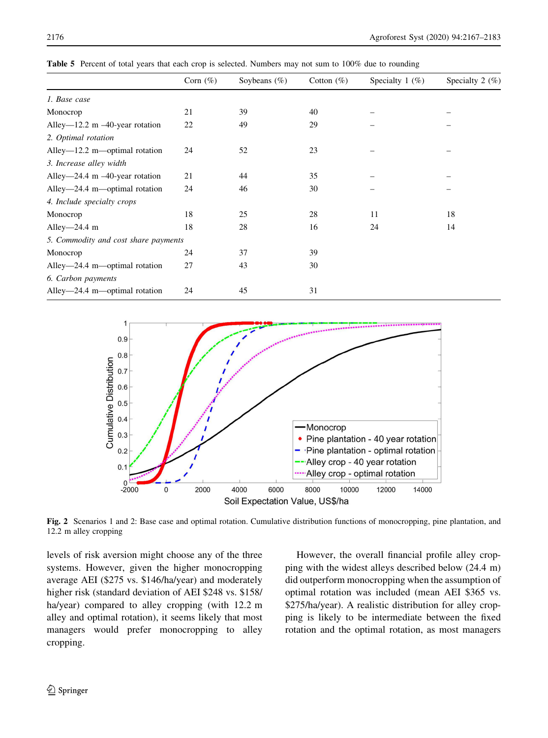|                                      | Corn $(\%)$ | Soybeans $(\%)$ | Cotton $(\%)$ | Specialty 1 $(\%)$ | Specialty 2 $(\%)$ |
|--------------------------------------|-------------|-----------------|---------------|--------------------|--------------------|
| 1. Base case                         |             |                 |               |                    |                    |
| Monocrop                             | 21          | 39              | 40            |                    |                    |
| Alley— $12.2$ m $-40$ -year rotation | 22          | 49              | 29            |                    |                    |
| 2. Optimal rotation                  |             |                 |               |                    |                    |
| Alley— $12.2$ m—optimal rotation     | 24          | 52              | 23            |                    |                    |
| 3. Increase alley width              |             |                 |               |                    |                    |
| Alley—24.4 m $-40$ -year rotation    | 21          | 44              | 35            |                    |                    |
| Alley—24.4 m—optimal rotation        | 24          | 46              | 30            |                    |                    |
| 4. Include specialty crops           |             |                 |               |                    |                    |
| Monocrop                             | 18          | 25              | 28            | 11                 | 18                 |
| Alley $-24.4$ m                      | 18          | 28              | 16            | 24                 | 14                 |
| 5. Commodity and cost share payments |             |                 |               |                    |                    |
| Monocrop                             | 24          | 37              | 39            |                    |                    |
| Alley—24.4 m—optimal rotation        | 27          | 43              | 30            |                    |                    |
| 6. Carbon payments                   |             |                 |               |                    |                    |
| Alley—24.4 m—optimal rotation        | 24          | 45              | 31            |                    |                    |

<span id="page-9-0"></span>Table 5 Percent of total years that each crop is selected. Numbers may not sum to 100% due to rounding



Fig. 2 Scenarios 1 and 2: Base case and optimal rotation. Cumulative distribution functions of monocropping, pine plantation, and 12.2 m alley cropping

levels of risk aversion might choose any of the three systems. However, given the higher monocropping average AEI (\$275 vs. \$146/ha/year) and moderately higher risk (standard deviation of AEI \$248 vs. \$158/ ha/year) compared to alley cropping (with 12.2 m alley and optimal rotation), it seems likely that most managers would prefer monocropping to alley cropping.

However, the overall financial profile alley cropping with the widest alleys described below (24.4 m) did outperform monocropping when the assumption of optimal rotation was included (mean AEI \$365 vs. \$275/ha/year). A realistic distribution for alley cropping is likely to be intermediate between the fixed rotation and the optimal rotation, as most managers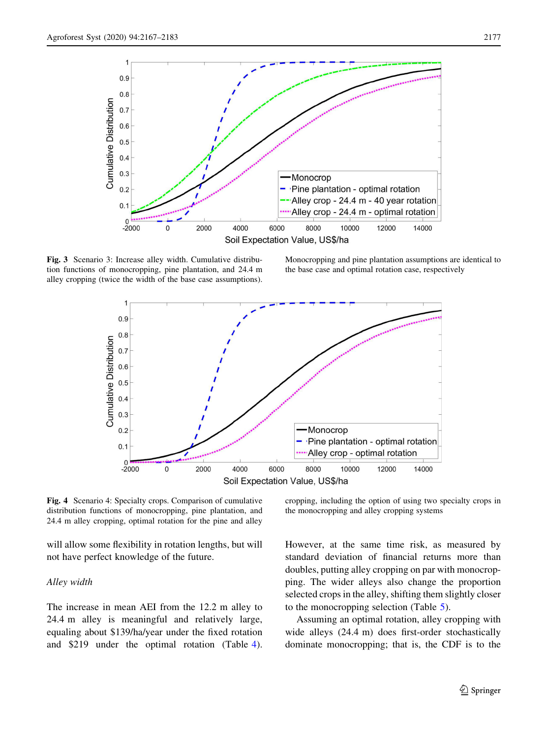<span id="page-10-0"></span>

Fig. 3 Scenario 3: Increase alley width. Cumulative distribution functions of monocropping, pine plantation, and 24.4 m alley cropping (twice the width of the base case assumptions).

Monocropping and pine plantation assumptions are identical to the base case and optimal rotation case, respectively



Fig. 4 Scenario 4: Specialty crops. Comparison of cumulative distribution functions of monocropping, pine plantation, and 24.4 m alley cropping, optimal rotation for the pine and alley

will allow some flexibility in rotation lengths, but will not have perfect knowledge of the future.

#### Alley width

The increase in mean AEI from the 12.2 m alley to 24.4 m alley is meaningful and relatively large, equaling about \$139/ha/year under the fixed rotation and \$219 under the optimal rotation (Table [4](#page-8-0)).

cropping, including the option of using two specialty crops in the monocropping and alley cropping systems

However, at the same time risk, as measured by standard deviation of financial returns more than doubles, putting alley cropping on par with monocropping. The wider alleys also change the proportion selected crops in the alley, shifting them slightly closer to the monocropping selection (Table [5\)](#page-9-0).

Assuming an optimal rotation, alley cropping with wide alleys (24.4 m) does first-order stochastically dominate monocropping; that is, the CDF is to the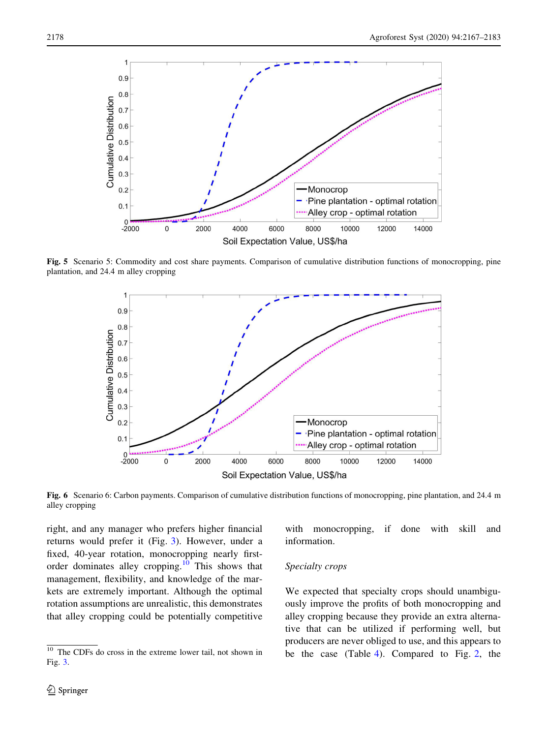<span id="page-11-0"></span>

Fig. 5 Scenario 5: Commodity and cost share payments. Comparison of cumulative distribution functions of monocropping, pine plantation, and 24.4 m alley cropping



Fig. 6 Scenario 6: Carbon payments. Comparison of cumulative distribution functions of monocropping, pine plantation, and 24.4 m alley cropping

right, and any manager who prefers higher financial returns would prefer it (Fig. [3\)](#page-10-0). However, under a fixed, 40-year rotation, monocropping nearly firstorder dominates alley cropping.<sup>10</sup> This shows that management, flexibility, and knowledge of the markets are extremely important. Although the optimal rotation assumptions are unrealistic, this demonstrates that alley cropping could be potentially competitive with monocropping, if done with skill and information.

## Specialty crops

We expected that specialty crops should unambiguously improve the profits of both monocropping and alley cropping because they provide an extra alternative that can be utilized if performing well, but producers are never obliged to use, and this appears to be the case (Table [4\)](#page-8-0). Compared to Fig. [2,](#page-9-0) the

<sup>&</sup>lt;sup>10</sup> The CDFs do cross in the extreme lower tail, not shown in Fig. [3](#page-10-0).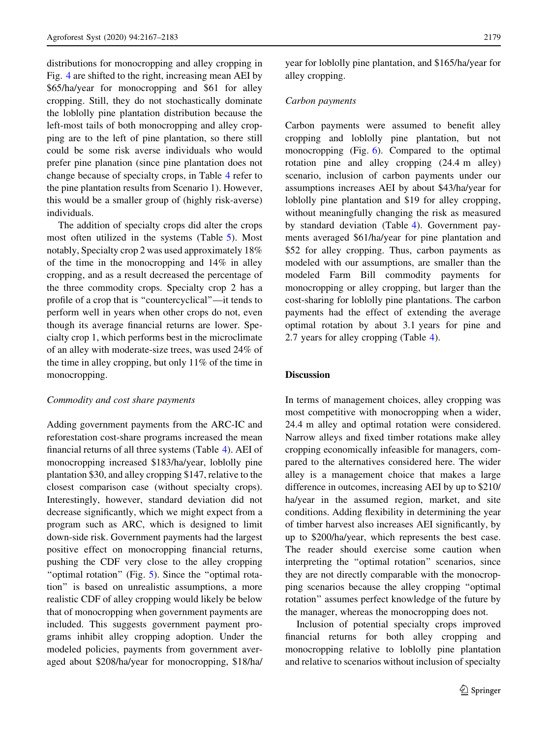distributions for monocropping and alley cropping in Fig. [4](#page-10-0) are shifted to the right, increasing mean AEI by \$65/ha/year for monocropping and \$61 for alley cropping. Still, they do not stochastically dominate the loblolly pine plantation distribution because the left-most tails of both monocropping and alley cropping are to the left of pine plantation, so there still could be some risk averse individuals who would prefer pine planation (since pine plantation does not change because of specialty crops, in Table [4](#page-8-0) refer to the pine plantation results from Scenario 1). However, this would be a smaller group of (highly risk-averse) individuals.

The addition of specialty crops did alter the crops most often utilized in the systems (Table [5](#page-9-0)). Most notably, Specialty crop 2 was used approximately 18% of the time in the monocropping and 14% in alley cropping, and as a result decreased the percentage of the three commodity crops. Specialty crop 2 has a profile of a crop that is ''countercyclical''—it tends to perform well in years when other crops do not, even though its average financial returns are lower. Specialty crop 1, which performs best in the microclimate of an alley with moderate-size trees, was used 24% of the time in alley cropping, but only 11% of the time in monocropping.

## Commodity and cost share payments

Adding government payments from the ARC-IC and reforestation cost-share programs increased the mean financial returns of all three systems (Table [4\)](#page-8-0). AEI of monocropping increased \$183/ha/year, loblolly pine plantation \$30, and alley cropping \$147, relative to the closest comparison case (without specialty crops). Interestingly, however, standard deviation did not decrease significantly, which we might expect from a program such as ARC, which is designed to limit down-side risk. Government payments had the largest positive effect on monocropping financial returns, pushing the CDF very close to the alley cropping "optimal rotation" (Fig. [5\)](#page-11-0). Since the "optimal rotation'' is based on unrealistic assumptions, a more realistic CDF of alley cropping would likely be below that of monocropping when government payments are included. This suggests government payment programs inhibit alley cropping adoption. Under the modeled policies, payments from government averaged about \$208/ha/year for monocropping, \$18/ha/ year for loblolly pine plantation, and \$165/ha/year for alley cropping.

## Carbon payments

Carbon payments were assumed to benefit alley cropping and loblolly pine plantation, but not monocropping (Fig. [6\)](#page-11-0). Compared to the optimal rotation pine and alley cropping (24.4 m alley) scenario, inclusion of carbon payments under our assumptions increases AEI by about \$43/ha/year for loblolly pine plantation and \$19 for alley cropping, without meaningfully changing the risk as measured by standard deviation (Table [4](#page-8-0)). Government payments averaged \$61/ha/year for pine plantation and \$52 for alley cropping. Thus, carbon payments as modeled with our assumptions, are smaller than the modeled Farm Bill commodity payments for monocropping or alley cropping, but larger than the cost-sharing for loblolly pine plantations. The carbon payments had the effect of extending the average optimal rotation by about 3.1 years for pine and 2.7 years for alley cropping (Table [4](#page-8-0)).

# **Discussion**

In terms of management choices, alley cropping was most competitive with monocropping when a wider, 24.4 m alley and optimal rotation were considered. Narrow alleys and fixed timber rotations make alley cropping economically infeasible for managers, compared to the alternatives considered here. The wider alley is a management choice that makes a large difference in outcomes, increasing AEI by up to \$210/ ha/year in the assumed region, market, and site conditions. Adding flexibility in determining the year of timber harvest also increases AEI significantly, by up to \$200/ha/year, which represents the best case. The reader should exercise some caution when interpreting the ''optimal rotation'' scenarios, since they are not directly comparable with the monocropping scenarios because the alley cropping ''optimal rotation'' assumes perfect knowledge of the future by the manager, whereas the monocropping does not.

Inclusion of potential specialty crops improved financial returns for both alley cropping and monocropping relative to loblolly pine plantation and relative to scenarios without inclusion of specialty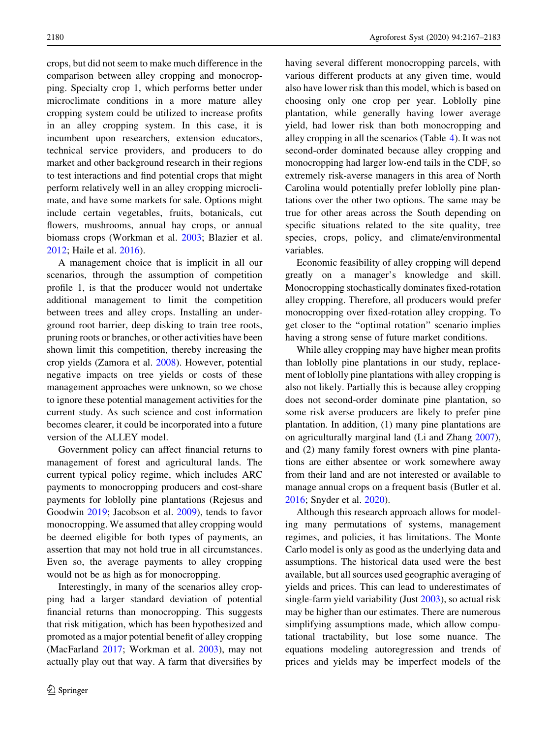crops, but did not seem to make much difference in the comparison between alley cropping and monocropping. Specialty crop 1, which performs better under microclimate conditions in a more mature alley cropping system could be utilized to increase profits in an alley cropping system. In this case, it is incumbent upon researchers, extension educators, technical service providers, and producers to do market and other background research in their regions to test interactions and find potential crops that might perform relatively well in an alley cropping microclimate, and have some markets for sale. Options might include certain vegetables, fruits, botanicals, cut flowers, mushrooms, annual hay crops, or annual biomass crops (Workman et al. [2003](#page-15-0); Blazier et al. [2012;](#page-14-0) Haile et al. [2016](#page-15-0)).

A management choice that is implicit in all our scenarios, through the assumption of competition profile 1, is that the producer would not undertake additional management to limit the competition between trees and alley crops. Installing an underground root barrier, deep disking to train tree roots, pruning roots or branches, or other activities have been shown limit this competition, thereby increasing the crop yields (Zamora et al. [2008\)](#page-16-0). However, potential negative impacts on tree yields or costs of these management approaches were unknown, so we chose to ignore these potential management activities for the current study. As such science and cost information becomes clearer, it could be incorporated into a future version of the ALLEY model.

Government policy can affect financial returns to management of forest and agricultural lands. The current typical policy regime, which includes ARC payments to monocropping producers and cost-share payments for loblolly pine plantations (Rejesus and Goodwin [2019](#page-15-0); Jacobson et al. [2009\)](#page-15-0), tends to favor monocropping. We assumed that alley cropping would be deemed eligible for both types of payments, an assertion that may not hold true in all circumstances. Even so, the average payments to alley cropping would not be as high as for monocropping.

Interestingly, in many of the scenarios alley cropping had a larger standard deviation of potential financial returns than monocropping. This suggests that risk mitigation, which has been hypothesized and promoted as a major potential benefit of alley cropping (MacFarland [2017](#page-15-0); Workman et al. [2003](#page-15-0)), may not actually play out that way. A farm that diversifies by having several different monocropping parcels, with various different products at any given time, would also have lower risk than this model, which is based on choosing only one crop per year. Loblolly pine plantation, while generally having lower average yield, had lower risk than both monocropping and alley cropping in all the scenarios (Table [4\)](#page-8-0). It was not second-order dominated because alley cropping and monocropping had larger low-end tails in the CDF, so extremely risk-averse managers in this area of North Carolina would potentially prefer loblolly pine plantations over the other two options. The same may be true for other areas across the South depending on specific situations related to the site quality, tree species, crops, policy, and climate/environmental variables.

Economic feasibility of alley cropping will depend greatly on a manager's knowledge and skill. Monocropping stochastically dominates fixed-rotation alley cropping. Therefore, all producers would prefer monocropping over fixed-rotation alley cropping. To get closer to the ''optimal rotation'' scenario implies having a strong sense of future market conditions.

While alley cropping may have higher mean profits than loblolly pine plantations in our study, replacement of loblolly pine plantations with alley cropping is also not likely. Partially this is because alley cropping does not second-order dominate pine plantation, so some risk averse producers are likely to prefer pine plantation. In addition, (1) many pine plantations are on agriculturally marginal land (Li and Zhang [2007](#page-15-0)), and (2) many family forest owners with pine plantations are either absentee or work somewhere away from their land and are not interested or available to manage annual crops on a frequent basis (Butler et al. [2016;](#page-14-0) Snyder et al. [2020](#page-15-0)).

Although this research approach allows for modeling many permutations of systems, management regimes, and policies, it has limitations. The Monte Carlo model is only as good as the underlying data and assumptions. The historical data used were the best available, but all sources used geographic averaging of yields and prices. This can lead to underestimates of single-farm yield variability (Just [2003](#page-15-0)), so actual risk may be higher than our estimates. There are numerous simplifying assumptions made, which allow computational tractability, but lose some nuance. The equations modeling autoregression and trends of prices and yields may be imperfect models of the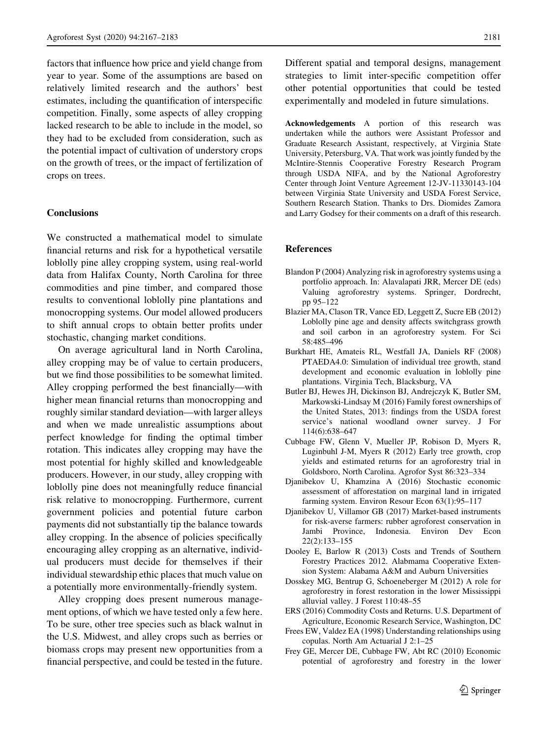<span id="page-14-0"></span>factors that influence how price and yield change from year to year. Some of the assumptions are based on relatively limited research and the authors' best estimates, including the quantification of interspecific competition. Finally, some aspects of alley cropping lacked research to be able to include in the model, so they had to be excluded from consideration, such as the potential impact of cultivation of understory crops on the growth of trees, or the impact of fertilization of crops on trees.

# **Conclusions**

We constructed a mathematical model to simulate financial returns and risk for a hypothetical versatile loblolly pine alley cropping system, using real-world data from Halifax County, North Carolina for three commodities and pine timber, and compared those results to conventional loblolly pine plantations and monocropping systems. Our model allowed producers to shift annual crops to obtain better profits under stochastic, changing market conditions.

On average agricultural land in North Carolina, alley cropping may be of value to certain producers, but we find those possibilities to be somewhat limited. Alley cropping performed the best financially—with higher mean financial returns than monocropping and roughly similar standard deviation—with larger alleys and when we made unrealistic assumptions about perfect knowledge for finding the optimal timber rotation. This indicates alley cropping may have the most potential for highly skilled and knowledgeable producers. However, in our study, alley cropping with loblolly pine does not meaningfully reduce financial risk relative to monocropping. Furthermore, current government policies and potential future carbon payments did not substantially tip the balance towards alley cropping. In the absence of policies specifically encouraging alley cropping as an alternative, individual producers must decide for themselves if their individual stewardship ethic places that much value on a potentially more environmentally-friendly system.

Alley cropping does present numerous management options, of which we have tested only a few here. To be sure, other tree species such as black walnut in the U.S. Midwest, and alley crops such as berries or biomass crops may present new opportunities from a financial perspective, and could be tested in the future.

Different spatial and temporal designs, management strategies to limit inter-specific competition offer other potential opportunities that could be tested experimentally and modeled in future simulations.

Acknowledgements A portion of this research was undertaken while the authors were Assistant Professor and Graduate Research Assistant, respectively, at Virginia State University, Petersburg, VA. That work was jointly funded by the McIntire-Stennis Cooperative Forestry Research Program through USDA NIFA, and by the National Agroforestry Center through Joint Venture Agreement 12-JV-11330143-104 between Virginia State University and USDA Forest Service, Southern Research Station. Thanks to Drs. Diomides Zamora and Larry Godsey for their comments on a draft of this research.

# References

- Blandon P (2004) Analyzing risk in agroforestry systems using a portfolio approach. In: Alavalapati JRR, Mercer DE (eds) Valuing agroforestry systems. Springer, Dordrecht, pp 95–122
- Blazier MA, Clason TR, Vance ED, Leggett Z, Sucre EB (2012) Loblolly pine age and density affects switchgrass growth and soil carbon in an agroforestry system. For Sci 58:485–496
- Burkhart HE, Amateis RL, Westfall JA, Daniels RF (2008) PTAEDA4.0: Simulation of individual tree growth, stand development and economic evaluation in loblolly pine plantations. Virginia Tech, Blacksburg, VA
- Butler BJ, Hewes JH, Dickinson BJ, Andrejczyk K, Butler SM, Markowski-Lindsay M (2016) Family forest ownerships of the United States, 2013: findings from the USDA forest service's national woodland owner survey. J For 114(6):638–647
- Cubbage FW, Glenn V, Mueller JP, Robison D, Myers R, Luginbuhl J-M, Myers R (2012) Early tree growth, crop yields and estimated returns for an agroforestry trial in Goldsboro, North Carolina. Agrofor Syst 86:323–334
- Djanibekov U, Khamzina A (2016) Stochastic economic assessment of afforestation on marginal land in irrigated farming system. Environ Resour Econ 63(1):95–117
- Djanibekov U, Villamor GB (2017) Market-based instruments for risk-averse farmers: rubber agroforest conservation in Jambi Province, Indonesia. 22(2):133–155
- Dooley E, Barlow R (2013) Costs and Trends of Southern Forestry Practices 2012. Alabmama Cooperative Extension System: Alabama A&M and Auburn Universities
- Dosskey MG, Bentrup G, Schoeneberger M (2012) A role for agroforestry in forest restoration in the lower Mississippi alluvial valley. J Forest 110:48–55
- ERS (2016) Commodity Costs and Returns. U.S. Department of Agriculture, Economic Research Service, Washington, DC
- Frees EW, Valdez EA (1998) Understanding relationships using copulas. North Am Actuarial J 2:1–25
- Frey GE, Mercer DE, Cubbage FW, Abt RC (2010) Economic potential of agroforestry and forestry in the lower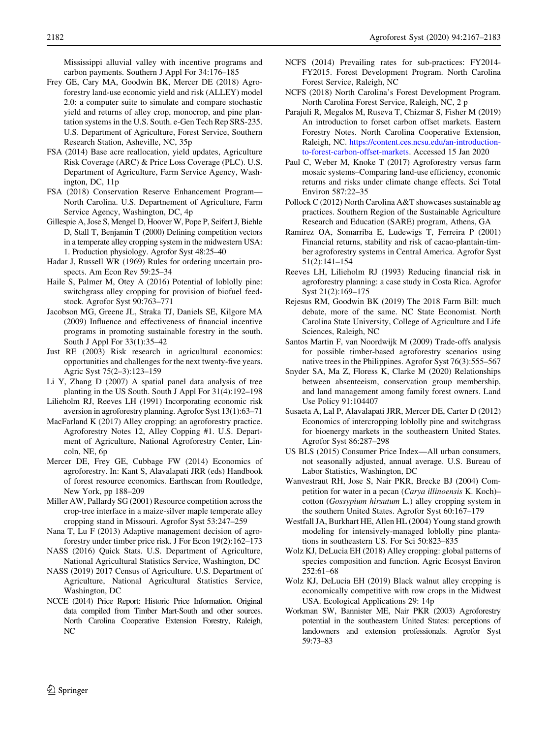<span id="page-15-0"></span>Mississippi alluvial valley with incentive programs and carbon payments. Southern J Appl For 34:176–185

- Frey GE, Cary MA, Goodwin BK, Mercer DE (2018) Agroforestry land-use economic yield and risk (ALLEY) model 2.0: a computer suite to simulate and compare stochastic yield and returns of alley crop, monocrop, and pine plantation systems in the U.S. South. e-Gen Tech Rep SRS-235. U.S. Department of Agriculture, Forest Service, Southern Research Station, Asheville, NC, 35p
- FSA (2014) Base acre reallocation, yield updates, Agriculture Risk Coverage (ARC) & Price Loss Coverage (PLC). U.S. Department of Agriculture, Farm Service Agency, Washington, DC, 11p
- FSA (2018) Conservation Reserve Enhancement Program— North Carolina. U.S. Departnement of Agriculture, Farm Service Agency, Washington, DC, 4p
- Gillespie A, Jose S, Mengel D, Hoover W, Pope P, Seifert J, Biehle D, Stall T, Benjamin T (2000) Defining competition vectors in a temperate alley cropping system in the midwestern USA: 1. Production physiology. Agrofor Syst 48:25–40
- Hadar J, Russell WR (1969) Rules for ordering uncertain prospects. Am Econ Rev 59:25–34
- Haile S, Palmer M, Otey A (2016) Potential of loblolly pine: switchgrass alley cropping for provision of biofuel feedstock. Agrofor Syst 90:763–771
- Jacobson MG, Greene JL, Straka TJ, Daniels SE, Kilgore MA (2009) Influence and effectiveness of financial incentive programs in promoting sustainable forestry in the south. South J Appl For 33(1):35–42
- Just RE (2003) Risk research in agricultural economics: opportunities and challenges for the next twenty-five years. Agric Syst 75(2–3):123–159
- Li Y, Zhang D (2007) A spatial panel data analysis of tree planting in the US South. South J Appl For 31(4):192–198
- Lilieholm RJ, Reeves LH (1991) Incorporating economic risk aversion in agroforestry planning. Agrofor Syst 13(1):63–71
- MacFarland K (2017) Alley cropping: an agroforestry practice. Agroforestry Notes 12, Alley Copping #1. U.S. Department of Agriculture, National Agroforestry Center, Lincoln, NE, 6p
- Mercer DE, Frey GE, Cubbage FW (2014) Economics of agroforestry. In: Kant S, Alavalapati JRR (eds) Handbook of forest resource economics. Earthscan from Routledge, New York, pp 188–209
- Miller AW, Pallardy SG (2001) Resource competition across the crop-tree interface in a maize-silver maple temperate alley cropping stand in Missouri. Agrofor Syst 53:247–259
- Nana T, Lu F (2013) Adaptive management decision of agroforestry under timber price risk. J For Econ 19(2):162–173
- NASS (2016) Quick Stats. U.S. Department of Agriculture, National Agricultural Statistics Service, Washington, DC
- NASS (2019) 2017 Census of Agriculture. U.S. Department of Agriculture, National Agricultural Statistics Service, Washington, DC
- NCCE (2014) Price Report: Historic Price Information. Original data compiled from Timber Mart-South and other sources. North Carolina Cooperative Extension Forestry, Raleigh, NC
- NCFS (2014) Prevailing rates for sub-practices: FY2014- FY2015. Forest Development Program. North Carolina Forest Service, Raleigh, NC
- NCFS (2018) North Carolina's Forest Development Program. North Carolina Forest Service, Raleigh, NC, 2 p
- Parajuli R, Megalos M, Ruseva T, Chizmar S, Fisher M (2019) An introduction to forset carbon offset markets. Eastern Forestry Notes. North Carolina Cooperative Extension, Raleigh, NC. [https://content.ces.ncsu.edu/an-introduction](https://content.ces.ncsu.edu/an-introduction-to-forest-carbon-offset-markets)[to-forest-carbon-offset-markets](https://content.ces.ncsu.edu/an-introduction-to-forest-carbon-offset-markets). Accessed 15 Jan 2020
- Paul C, Weber M, Knoke T (2017) Agroforestry versus farm mosaic systems–Comparing land-use efficiency, economic returns and risks under climate change effects. Sci Total Environ 587:22–35
- Pollock C (2012) North Carolina A&T showcases sustainable ag practices. Southern Region of the Sustainable Agriculture Research and Education (SARE) program, Athens, GA
- Ramirez OA, Somarriba E, Ludewigs T, Ferreira P (2001) Financial returns, stability and risk of cacao-plantain-timber agroforestry systems in Central America. Agrofor Syst 51(2):141–154
- Reeves LH, Lilieholm RJ (1993) Reducing financial risk in agroforestry planning: a case study in Costa Rica. Agrofor Syst 21(2):169–175
- Rejesus RM, Goodwin BK (2019) The 2018 Farm Bill: much debate, more of the same. NC State Economist. North Carolina State University, College of Agriculture and Life Sciences, Raleigh, NC
- Santos Martin F, van Noordwijk M (2009) Trade-offs analysis for possible timber-based agroforestry scenarios using native trees in the Philippines. Agrofor Syst 76(3):555–567
- Snyder SA, Ma Z, Floress K, Clarke M (2020) Relationships between absenteeism, conservation group membership, and land management among family forest owners. Land Use Policy 91:104407
- Susaeta A, Lal P, Alavalapati JRR, Mercer DE, Carter D (2012) Economics of intercropping loblolly pine and switchgrass for bioenergy markets in the southeastern United States. Agrofor Syst 86:287–298
- US BLS (2015) Consumer Price Index—All urban consumers, not seasonally adjusted, annual average. U.S. Bureau of Labor Statistics, Washington, DC
- Wanvestraut RH, Jose S, Nair PKR, Brecke BJ (2004) Competition for water in a pecan (Carya illinoensis K. Koch)– cotton (Gossypium hirsutum L.) alley cropping system in the southern United States. Agrofor Syst 60:167–179
- Westfall JA, Burkhart HE, Allen HL (2004) Young stand growth modeling for intensively-managed loblolly pine plantations in southeastern US. For Sci 50:823–835
- Wolz KJ, DeLucia EH (2018) Alley cropping: global patterns of species composition and function. Agric Ecosyst Environ 252:61–68
- Wolz KJ, DeLucia EH (2019) Black walnut alley cropping is economically competitive with row crops in the Midwest USA. Ecological Applications 29: 14p
- Workman SW, Bannister ME, Nair PKR (2003) Agroforestry potential in the southeastern United States: perceptions of landowners and extension professionals. Agrofor Syst 59:73–83